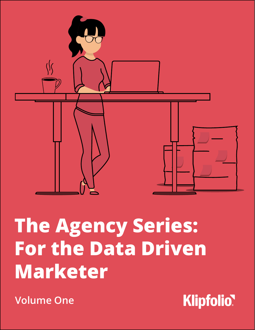

# **The Agency Series: For the Data Driven Marketer**

**Volume One**

**Klipfolio**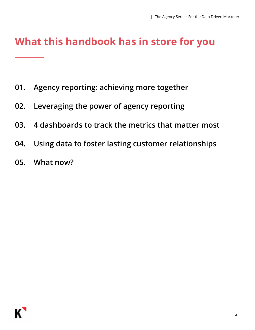## **What this handbook has in store for you**

- **01. Agency reporting: achieving more together**
- **02. Leveraging the power of agency reporting**
- **03. 4 dashboards to track the metrics that matter most**
- **04. Using data to foster lasting customer relationships**
- **05. What now?**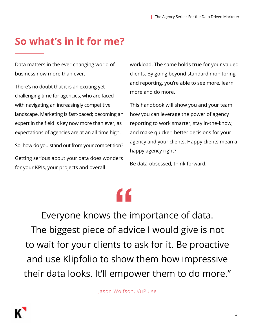## **So what's in it for me?**

Data matters in the ever-changing world of business now more than ever.

There's no doubt that it is an exciting yet challenging time for agencies, who are faced with navigating an increasingly competitive landscape. Marketing is fast-paced; becoming an expert in the field is key now more than ever, as expectations of agencies are at an all-time high.

So, how do you stand out from your competition? Getting serious about your data does wonders for your KPIs, your projects and overall

workload. The same holds true for your valued clients. By going beyond standard monitoring and reporting, you're able to see more, learn more and do more.

This handbook will show you and your team how you can leverage the power of agency reporting to work smarter, stay in-the-know, and make quicker, better decisions for your agency and your clients. Happy clients mean a happy agency right?

Be data-obsessed, think forward.

Everyone knows the importance of data. The biggest piece of advice I would give is not to wait for your clients to ask for it. Be proactive and use Klipfolio to show them how impressive their data looks. It'll empower them to do more."  $\left| \begin{array}{c} 1 \\ 1 \\ 2 \end{array} \right|$ 

Jason Wolfson, VuPulse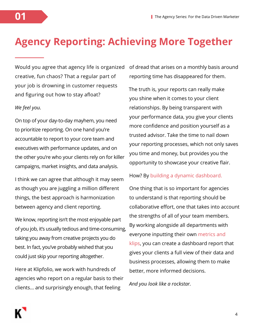## **Agency Reporting: Achieving More Together**

Would you agree that agency life is organized creative, fun chaos? That a regular part of your job is drowning in customer requests and figuring out how to stay afloat?

#### *We feel you.*

On top of your day-to-day mayhem, you need to prioritize reporting. On one hand you're accountable to report to your core team and executives with performance updates, and on the other you're who your clients rely on for killer campaigns, market insights, and data analysis.

I think we can agree that although it may seem as though you are juggling a million different things, the best approach is harmonization between agency and client reporting.

We know, reporting isn't the most enjoyable part of you job, it's usually tedious and time-consuming, taking you away from creative projects you do best. In fact, you've probably wished that you could just skip your reporting altogether.

Here at Klipfolio, we work with hundreds of agencies who report on a regular basis to their clients… and surprisingly enough, that feeling

of dread that arises on a monthly basis around reporting time has disappeared for them.

The truth is, your reports can really make you shine when it comes to your client relationships. By being transparent with your performance data, you give your clients more confidence and position yourself as a trusted advisor. Take the time to nail down your reporting processes, which not only saves you time and money, but provides you the opportunity to showcase your creative flair.

How? By building a [dynamic dashboard](https://www.klipfolio.com/resources/dashboard-examples).

One thing that is so important for agencies to understand is that reporting should be collaborative effort, one that takes into account the strengths of all of your team members. By working alongside all departments with everyone inputting their own [metrics and](https://www.klipfolio.com/gallery/klips)  [klips](https://www.klipfolio.com/gallery/klips), you can create a dashboard report that gives your clients a full view of their data and business processes, allowing them to make better, more informed decisions.

*And you look like a rockstar.*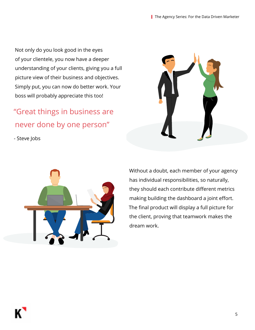Not only do you look good in the eyes of your clientele, you now have a deeper understanding of your clients, giving you a full picture view of their business and objectives. Simply put, you can now do better work. Your boss will probably appreciate this too!

## "Great things in business are never done by one person"

- Steve Jobs





Without a doubt, each member of your agency has individual responsibilities, so naturally, they should each contribute different metrics making building the dashboard a joint effort. The final product will display a full picture for the client, proving that teamwork makes the dream work.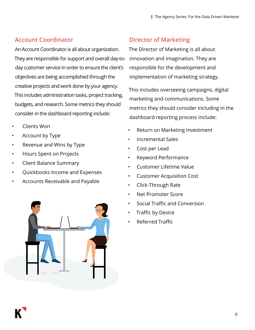#### **Account Coordinator**

An Account Coordinator is all about organization. They are responsible for support and overall day-today customer service in order to ensure the client's objectives are being accomplished through the creative projects and work done by your agency. This includes administration tasks, project tracking, budgets, and research. Some metrics they should consider in the dashboard reporting include:

- Clients Won
- Account by Type
- Revenue and Wins by Type
- Hours Spent on Projects
- Client Balance Summary
- Quickbooks Income and Expenses
- Accounts Receivable and Payable



#### **Director of Marketing**

The Director of Marketing is all about innovation and imagination. They are responsible for the development and implementation of marketing strategy.

This includes overseeing campaigns, digital marketing and communications. Some metrics they should consider including in the dashboard reporting process include:

- Return on Marketing Investment
- Incremental Sales
- Cost per Lead
- Keyword Performance
- Customer Lifetime Value
- Customer Acquisition Cost
- Click-Through Rate
- Net Promoter Score
- Social Traffic and Conversion
- Traffic by Device
- Referred Traffic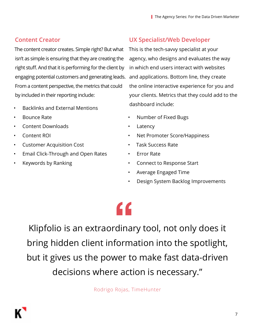### **Content Creator**

The content creator creates. Simple right? But what isn't as simple is ensuring that they are creating the right stuff. And that it is performing for the client by engaging potential customers and generating leads. and applications. Bottom line, they create From a content perspective, the metrics that could by included in their reporting include:

- Backlinks and External Mentions
- Bounce Rate
- Content Downloads
- Content ROI
- Customer Acquisition Cost
- Email Click-Through and Open Rates
- Keywords by Ranking

#### **UX Specialist/Web Developer**

This is the tech-savvy specialist at your agency, who designs and evaluates the way in which end users interact with websites the online interactive experience for you and your clients. Metrics that they could add to the dashboard include:

- Number of Fixed Bugs
- Latency
- Net Promoter Score/Happiness
- Task Success Rate
- Error Rate
- Connect to Response Start
- Average Engaged Time
- Design System Backlog Improvements

## **"**

Klipfolio is an extraordinary tool, not only does it bring hidden client information into the spotlight, but it gives us the power to make fast data-driven decisions where action is necessary."

Rodrigo Rojas, TimeHunter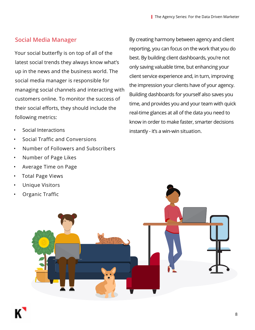#### **Social Media Manager**

Your social butterfly is on top of all of the latest social trends they always know what's up in the news and the business world. The social media manager is responsible for managing social channels and interacting with customers online. To monitor the success of their social efforts, they should include the following metrics:

- Social Interactions
- Social Traffic and Conversions
- Number of Followers and Subscribers
- Number of Page Likes
- Average Time on Page
- Total Page Views
- Unique Visitors
- Organic Traffic

By creating harmony between agency and client reporting, you can focus on the work that you do best. By building client dashboards, you're not only saving valuable time, but enhancing your client service experience and, in turn, improving the impression your clients have of your agency. Building dashboards for yourself also saves you time, and provides you and your team with quick real-time glances at all of the data you need to know in order to make faster, smarter decisions instantly - it's a win-win situation.

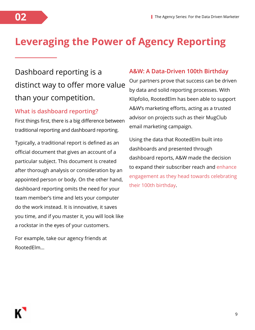## **Leveraging the Power of Agency Reporting**

## Dashboard reporting is a distinct way to offer more value than your competition.

#### **What is dashboard reporting?**

First things first, there is a big difference between traditional reporting and dashboard reporting.

Typically, a traditional report is defined as an official document that gives an account of a particular subject. This document is created after thorough analysis or consideration by an appointed person or body. On the other hand, dashboard reporting omits the need for your team member's time and lets your computer do the work instead. It is innovative, it saves you time, and if you master it, you will look like a rockstar in the eyes of your customers.

For example, take our agency friends at RootedElm...

#### **A&W: A Data-Driven 100th Birthday**

Our partners prove that success can be driven by data and solid reporting processes. With Klipfolio, RootedElm has been able to support A&W's marketing efforts, acting as a trusted advisor on projects such as their MugClub email marketing campaign.

Using the data that RootedElm built into dashboards and presented through dashboard reports, A&W made the decision to expand their subscriber reach and [enhance](https://www.klipfolio.com/blog/aw-email-program-marketing-strategy)  [engagement as they head towards celebrating](https://www.klipfolio.com/blog/aw-email-program-marketing-strategy)  [their 100th birthday](https://www.klipfolio.com/blog/aw-email-program-marketing-strategy).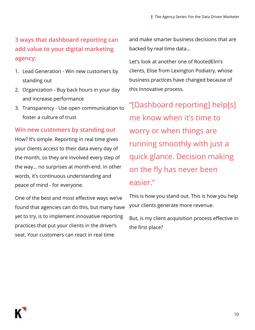### **3 ways that dashboard reporting can add value to your digital marketing agency:**

- 1. Lead Generation Win new customers by standing out
- 2. Organization Buy back hours in your day and increase performance
- 3. Transparency Use open communication to foster a culture of trust

#### **Win new customers by standing out**

How? It's simple. Reporting in real time gives your clients access to their data every day of the month, so they are involved every step of the way… no surprises at month-end. In other words, it's continuous understanding and peace of mind - for everyone.

One of the best and most effective ways we've found that agencies can do this, but many have yet to try, is to implement innovative reporting practices that put your clients in the driver's seat. Your customers can react in real time

and make smarter business decisions that are backed by real time data…

Let's look at another one of RootedElm's clients, Elise from Lexington Podiatry, whose business practices have changed because of this innovative process.

"[Dashboard reporting] help[s] me know when it's time to worry or when things are running smoothly with just a quick glance. Decision making on the fly has never been easier."

This is how you stand out. This is how you help your clients generate more revenue.

But, is my client acquisition process effective in the first place?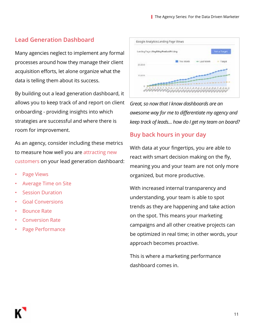#### **Lead Generation Dashboard**

Many agencies neglect to implement any formal processes around how they manage their client acquisition efforts, let alone organize what the data is telling them about its success.

By building out a lead generation dashboard, it allows you to keep track of and report on client onboarding - providing insights into which strategies are successful and where there is room for improvement.

As an agency, consider including these metrics to measure how well you are attracting new [customers](https://www.klipfolio.com/blog/lead-generation-dashboard) on your lead generation dashboard:

- [Page Views](https://www.klipfolio.com/gallery/klips/google-analytics-landing-page-view)
- [Average Time on Site](https://www.klipfolio.com/gallery/klips/webtrends-average-time-on-site)
- **[Session Duration](https://www.klipfolio.com/gallery/klips/google-analytics-sessions-by-device-type)**
- [Goal Conversions](https://www.klipfolio.com/gallery/klips/google-analytics-goals)
- [Bounce Rate](https://www.klipfolio.com/gallery/klips/webtrends-bounce-rate)
- [Conversion Rate](https://www.klipfolio.com/gallery/klips/google-analytics-landing-page-source-medium)
- [Page Performance](https://www.klipfolio.com/gallery/klips/google-analytics-landing-page-organic-search)



*Great, so now that I know dashboards are an awesome way for me to differentiate my agency and keep track of leads… how do I get my team on board?*

#### **Buy back hours in your day**

With data at your fingertips, you are able to react with smart decision making on the fly, meaning you and your team are not only more organized, but more productive.

With increased internal transparency and understanding, your team is able to spot trends as they are happening and take action on the spot. This means your marketing campaigns and all other creative projects can be optimized in real time; in other words, your approach becomes proactive.

This is where a marketing performance dashboard comes in.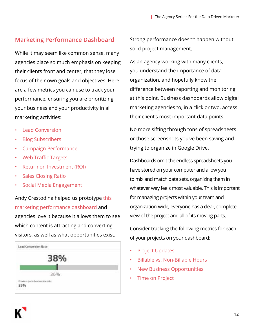#### **Marketing Performance Dashboard**

While it may seem like common sense, many agencies place so much emphasis on keeping their clients front and center, that they lose focus of their own goals and objectives. Here are a few metrics you can use to track your performance, ensuring you are prioritizing your business and your productivity in all marketing activities:

- [Lead Conversion](https://www.klipfolio.com/resources/kpi-examples/digital-marketing/lead-conversion-rate)
- [Blog Subscribers](https://www.klipfolio.com/gallery/klips/hubspot-blog-subscribers)
- [Campaign Performance](https://www.klipfolio.com/gallery/klips/google-adwords-campaign-performance)
- [Web Traffic Targets](https://www.klipfolio.com/gallery/klips/google-analytics-web-traffic-targets)
- [Return on Investment \(ROI\)](https://www.klipfolio.com/resources/kpi-examples/digital-marketing/return-on-marketing-investment)
- [Sales Closing Ratio](https://www.klipfolio.com/resources/kpi-examples/sales/sales-closing-ratio)
- [Social Media Engagement](https://www.klipfolio.com/resources/kpi-examples/social-media/social-events)

Andy Crestodina helped us prototype [this](https://app.klipfolio.com/published/3fdff8ff435fba761c4d8721642630c8/content-marketing-dashboard)  [marketing performance dashboard](https://app.klipfolio.com/published/3fdff8ff435fba761c4d8721642630c8/content-marketing-dashboard) and agencies love it because it allows them to see which content is attracting and converting visitors, as well as what opportunities exist.



Strong performance doesn't happen without solid project management.

As an agency working with many clients, you understand the importance of data organization, and hopefully know the difference between reporting and monitoring at this point. Business dashboards allow digital marketing agencies to, in a click or two, access their client's most important data points.

No more sifting through tons of spreadsheets or those screenshots you've been saving and trying to organize in Google Drive.

Dashboards omit the endless spreadsheets you have stored on your computer and allow you to mix and match data sets, organizing them in whatever way feels most valuable. This is important for managing projects within your team and organization-wide; everyone has a clear, complete view of the project and all of its moving parts.

Consider tracking the following metrics for each of your projects on your dashboard:

- [Project Updates](https://www.klipfolio.com/gallery/klips/basecamp-project-updates)
- [Billable vs. Non-Billable Hours](https://www.klipfolio.com/gallery/klips/harvest-hours-spent-on-task)
- [New Business Opportunities](https://www.klipfolio.com/gallery/klips/insightly-top-opportunities)
- [Time on Project](https://www.klipfolio.com/gallery/klips/harvest-time-on-project)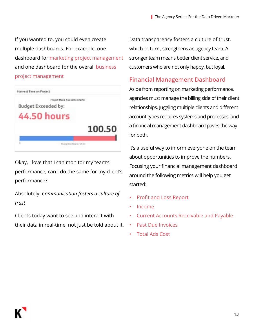If you wanted to, you could even create multiple dashboards. For example, one dashboard for [marketing project management](https://app.klipfolio.com/published/97d7bb3461bf50756c40dc23c6d5a872/marketing-project-management-dashboard) and one dashboard for the overall [business](https://app.klipfolio.com/published/c1679c38ad8114529b74e55394080f0a/business-project-management-dashboard)  [project management](https://app.klipfolio.com/published/c1679c38ad8114529b74e55394080f0a/business-project-management-dashboard)



Okay, I love that I can monitor my team's performance, can I do the same for my client's performance?

Absolutely. *Communication fosters a culture of trust*

Clients today want to see and interact with their data in real-time, not just be told about it. Data transparency fosters a culture of trust, which in turn, strengthens an agency team. A stronger team means better client service, and customers who are not only happy, but loyal.

#### **Financial Management Dashboard**

Aside from reporting on marketing performance, agencies must manage the billing side of their client relationships. Juggling multiple clients and different account types requires systems and processes, and a financial management dashboard paves the way for both.

It's a useful way to inform everyone on the team about opportunities to improve the numbers. Focusing your financial management dashboard around the following metrics will help you get started:

- Profit and Loss Report
- Income
- Current Accounts Receivable and Payable
- Past Due Invoices
- Total Ads Cost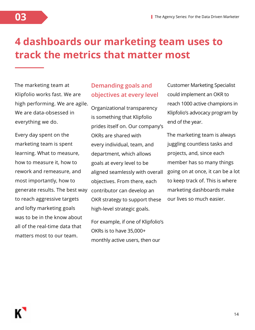## **4 dashboards our marketing team uses to track the metrics that matter most**

The marketing team at Klipfolio works fast. We are high performing. We are agile. We are data-obsessed in everything we do.

**03**

Every day spent on the marketing team is spent learning. What to measure, how to measure it, how to rework and remeasure, and most importantly, how to generate results. The best way to reach aggressive targets and lofty marketing goals was to be in the know about all of the real-time data that matters most to our team.

#### **Demanding goals and objectives at every level**

Organizational transparency is something that Klipfolio prides itself on. Our company's OKRs are shared with every individual, team, and department, which allows goals at every level to be aligned seamlessly with overall objectives. From there, each contributor can develop an OKR strategy to support these high-level strategic goals.

For example, if one of Klipfolio's OKRs is to have 35,000+ monthly active users, then our

Customer Marketing Specialist could implement an OKR to reach 1000 active champions in Klipfolio's advocacy program by end of the year.

The marketing team is always juggling countless tasks and projects, and, since each member has so many things going on at once, it can be a lot to keep track of. This is where marketing dashboards make our lives so much easier.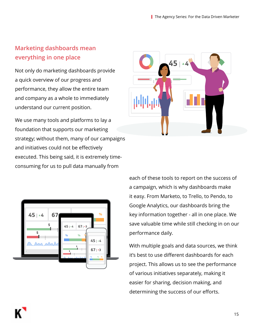#### **Marketing dashboards mean everything in one place**

Not only do marketing dashboards provide a quick overview of our progress and performance, they allow the entire team and company as a whole to immediately understand our current position.

We use many tools and platforms to lay a foundation that supports our marketing strategy; without them, many of our campaigns and initiatives could not be effectively executed. This being said, it is extremely timeconsuming for us to pull data manually from





each of these tools to report on the success of a campaign, which is why dashboards make it easy. From Marketo, to Trello, to Pendo, to Google Analytics, our dashboards bring the key information together - all in one place. We save valuable time while still checking in on our performance daily.

With multiple goals and data sources, we think it's best to use different dashboards for each project. This allows us to see the performance of various initiatives separately, making it easier for sharing, decision making, and determining the success of our efforts.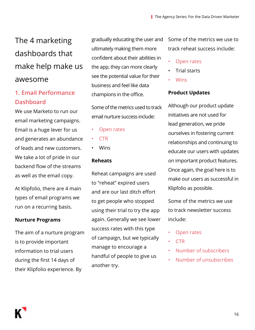## The 4 marketing dashboards that make help make us awesome

#### **1. Email Performance Dashboard**

We use Marketo to run our email marketing campaigns. Email is a huge lever for us and generates an abundance of leads and new customers. We take a lot of pride in our backend flow of the streams as well as the email copy.

At Klipfolio, there are 4 main types of email programs we run on a recurring basis.

#### **Nurture Programs**

The aim of a nurture program is to provide important information to trial users during the first 14 days of their Klipfolio experience. By

gradually educating the user and ultimately making them more confident about their abilities in the app, they can more clearly see the potential value for their business and feel like data champions in the office.

Some of the metrics used to track email nurture success include:

- [Open rates](https://www.klipfolio.com/resources/kpi-examples/email-marketing/email-engagement-score)
- [CTR](https://www.klipfolio.com/resources/kpi-examples/digital-marketing/click-through-rate)
- Wins

#### **Reheats**

Reheat campaigns are used to "reheat" expired users and are our last ditch effort to get people who stopped using their trial to try the app again. Generally we see lower success rates with this type of campaign, but we typically manage to encourage a handful of people to give us another try.

Some of the metrics we use to track reheat success include:

- [Open rates](https://www.klipfolio.com/resources/kpi-examples/email-marketing/email-engagement-score)
- Trial starts
- **[Wins](https://www.klipfolio.com/resources/kpi-examples/digital-marketing/click-through-rate)**

#### **Product Updates**

Although our product update initiatives are not used for lead generation, we pride ourselves in fostering current relationships and continuing to educate our users with updates on important product features. Once again, the goal here is to make our users as successful in Klipfolio as possible.

Some of the metrics we use to track newsletter success include:

- [Open rates](https://www.klipfolio.com/resources/kpi-examples/email-marketing/email-engagement-score)
- [CTR](https://www.klipfolio.com/resources/kpi-examples/digital-marketing/click-through-rate)
- [Number of subscribers](https://www.klipfolio.com/resources/kpi-examples/email-marketing/email-subscribers-metrics)
- [Number of unsubscribes](https://www.klipfolio.com/resources/kpi-examples/email-marketing/unsubscribes)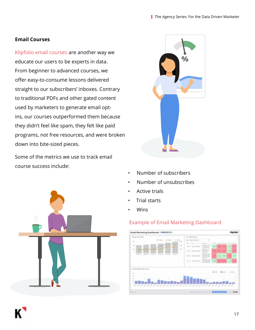#### **Email Courses**

[Klipfolio email courses](https://www.insanegrowth.com/email-courses/) are another way we educate our users to be experts in data. From beginner to advanced courses, we offer easy-to-consume lessons delivered straight to our subscribers' inboxes. Contrary to traditional PDFs and other gated content used by marketers to generate email optins, our courses outperformed them because they didn't feel like spam, they felt like paid programs, not free resources, and were broken down into bite-sized pieces.

Some of the metrics we use to track email course success include:





- Number of subscribers
- Number of unsubscribes
- Active trials
- Trial starts
- Wins

#### [Example of Email Marketing Dashboard](https://www.klipfolio.com/resources/dashboard-examples/marketing/email-marketing)

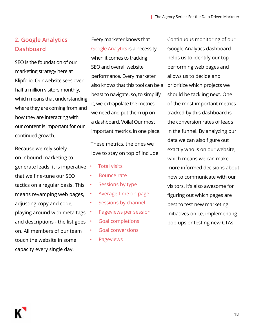#### **2. Google Analytics Dashboard**

SEO is the foundation of our marketing strategy here at Klipfolio. Our website sees over half a million visitors monthly, which means that understanding where they are coming from and how they are interacting with our content is important for our continued growth.

Because we rely solely on inbound marketing to generate leads, it is imperative that we fine-tune our SEO tactics on a regular basis. This means revamping web pages, adjusting copy and code, playing around with meta tags and descriptions - the list goes on. All members of our team touch the website in some capacity every single day.

Every marketer knows that [Google Analytics](https://www.klipfolio.com/integrations/google-analytics-dashboard) is a necessity when it comes to tracking SEO and overall website performance. Every marketer also knows that this tool can be a beast to navigate, so, to simplify it, we extrapolate the metrics we need and put them up on a dashboard. Voila! Our most important metrics, in one place.

These metrics, the ones we love to stay on top of include:

- [Total visits](https://www.klipfolio.com/resources/kpi-examples/digital-marketing/total-visits)
- [Bounce rate](https://www.klipfolio.com/resources/kpi-examples/digital-marketing/bounce-rate)
- [Sessions by type](https://www.klipfolio.com/gallery/klips/google-analytics-sessions-by-device-type)
	- [Average time on page](https://www.klipfolio.com/resources/kpi-examples/digital-marketing/avg-time-on-page)
- [Sessions by channel](https://www.klipfolio.com/resources/kpi-examples/digital-marketing/sessions-by-device-type)
- [Pageviews per session](https://www.klipfolio.com/resources/kpi-examples/digital-marketing/pageviews-per-session)
- [Goal completions](https://www.klipfolio.com/resources/kpi-examples/digital-marketing/goal-completion-rate)
- [Goal conversions](https://www.klipfolio.com/resources/kpi-examples/digital-marketing/online-conversions-metric)
- [Pageviews](https://www.klipfolio.com/resources/kpi-examples/seo/pageviews)

Continuous monitoring of our Google Analytics dashboard helps us to identify our top performing web pages and allows us to decide and prioritize which projects we should be tackling next. One of the most important metrics tracked by this dashboard is the conversion rates of leads in the funnel. By analyzing our data we can also figure out exactly who is on our website, which means we can make more informed decisions about how to communicate with our visitors. It's also awesome for figuring out which pages are best to test new marketing initiatives on i.e. implementing pop-ups or testing new CTAs.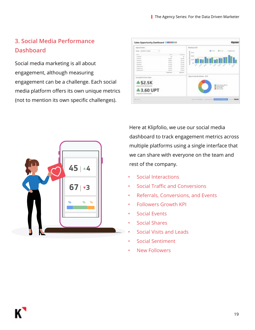#### **3. Social Media Performance Dashboard**

Social media marketing is all about engagement, although measuring engagement can be a challenge. Each social media platform offers its own unique metrics (not to mention its own specific challenges).

| <b>TRAINT SUPERIES</b>                    |                   |                             | <b>Bookings (FT)</b>                 |
|-------------------------------------------|-------------------|-----------------------------|--------------------------------------|
| Brasil, Svelfed in Street                 |                   |                             | <br>$-1 - 10$<br>×<br><b>SERVICE</b> |
| <b>COLOR</b>                              | <b>START</b>      | <b>The Action</b>           |                                      |
| <b>Summer</b>                             | $\rightarrow$     | ٠                           |                                      |
|                                           | 36.401            | ÷                           |                                      |
| Ĩ                                         | <b>Statistics</b> |                             |                                      |
|                                           | in and<br>to an   | <b>Black</b><br><b>PLAN</b> |                                      |
| mark in                                   | in and            | <b>Scient</b>               | 111.1111                             |
| <b>Technology</b>                         | to me.            | <b>Business</b>             |                                      |
| <b>Suffrage Gift</b>                      | <b>William</b>    | <b>Biologic</b>             |                                      |
|                                           | <b>Struktling</b> | <b>Sectional</b>            |                                      |
|                                           |                   |                             | Spectrally business: \$35            |
| <b><i>Stokings Residence Wings</i></b>    |                   |                             |                                      |
| <b>S2.5K</b>                              |                   |                             |                                      |
|                                           |                   |                             |                                      |
| <b>March 212 W. British W. Seatt Alex</b> |                   |                             | <b>B</b> Visa la Film                |
| <b>43.60 UPT</b>                          |                   |                             | and leving.                          |
|                                           |                   |                             |                                      |
|                                           |                   |                             |                                      |
| dependent to 2 SEE that shot              |                   |                             |                                      |



Here at Klipfolio, we use our social media dashboard to track engagement metrics across multiple platforms using a single interface that we can share with everyone on the team and rest of the company.

- [Social Interactions](https://www.klipfolio.com/resources/kpi-examples/social-media/social-interactions)
- [Social Traffic and Conversions](https://www.klipfolio.com/resources/kpi-examples/social-media/traffic-conversions)
- [Referrals, Conversions, and Events](https://www.klipfolio.com/resources/kpi-examples/social-media/key-social-metrics)
- [Followers Growth KPI](https://www.klipfolio.com/resources/kpi-examples/social-media/followers-target)
- [Social Events](https://www.klipfolio.com/resources/kpi-examples/social-media/social-events)
- [Social Shares](https://www.klipfolio.com/resources/kpi-examples/social-media/social-shares)
- [Social Visits and Leads](https://www.klipfolio.com/resources/kpi-examples/social-media/social-visitors-goals)
- [Social Sentiment](https://www.klipfolio.com/resources/kpi-examples/social-media/social-sentiment)
- [New Followers](https://www.klipfolio.com/resources/kpi-examples/social-media/new-followers)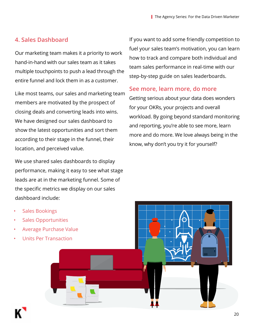#### **4. Sales Dashboard**

Our marketing team makes it a priority to work hand-in-hand with our sales team as it takes multiple touchpoints to push a lead through the entire funnel and lock them in as a customer.

Like most teams, our sales and marketing team members are motivated by the prospect of closing deals and converting leads into wins. We have designed our sales dashboard to show the latest opportunities and sort them according to their stage in the funnel, their location, and perceived value.

We use shared sales dashboards to display performance, making it easy to see what stage leads are at in the marketing funnel. Some of the specific metrics we display on our sales dashboard include:

If you want to add some friendly competition to fuel your sales team's motivation, you can learn how to track and compare both individual and team sales performance in real-time with our step-by-step guide on sales leaderboards.

#### **See more, learn more, do more**

Getting serious about your data does wonders for your OKRs, your projects and overall workload. By going beyond standard monitoring and reporting, you're able to see more, learn more and do more. We love always being in the know, why don't you try it for yourself?

[Sales Bookings](https://www.klipfolio.com/resources/kpi-examples/sales/bookings) [Sales Opportunities](https://www.klipfolio.com/resources/kpi-examples/sales/opportunities) • [Average Purchase Value](https://www.klipfolio.com/resources/kpi-examples/sales/average-purchase-value) • [Units Per Transaction](https://www.klipfolio.com/resources/kpi-examples/supply-chain/units-per-transaction)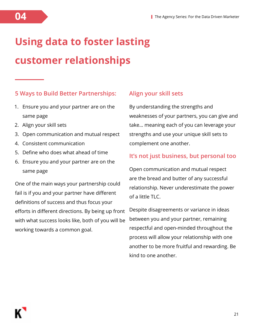## **Using data to foster lasting customer relationships**

#### **5 Ways to Build Better Partnerships:**

- 1. Ensure you and your partner are on the same page
- 2. Align your skill sets
- 3. Open communication and mutual respect
- 4. Consistent communication
- 5. Define who does what ahead of time
- 6. Ensure you and your partner are on the same page

One of the main ways your partnership could fail is if you and your partner have different definitions of success and thus focus your efforts in different directions. By being up front with what success looks like, both of you will be working towards a common goal.

#### **Align your skill sets**

By understanding the strengths and weaknesses of your partners, you can give and take… meaning each of you can leverage your strengths and use your unique skill sets to complement one another.

#### **It's not just business, but personal too**

Open communication and mutual respect are the bread and butter of any successful relationship. Never underestimate the power of a little  $TLC$ .

Despite disagreements or variance in ideas between you and your partner, remaining respectful and open-minded throughout the process will allow your relationship with one another to be more fruitful and rewarding. Be kind to one another.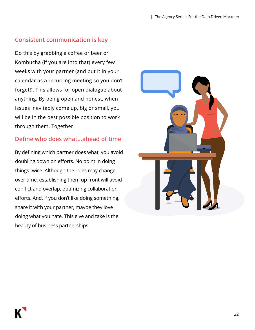#### **Consistent communication is key**

Do this by grabbing a coffee or beer or Kombucha (if you are into that) every few weeks with your partner (and put it in your calendar as a recurring meeting so you don't forget!). This allows for open dialogue about anything. By being open and honest, when issues inevitably come up, big or small, you will be in the best possible position to work through them. Together.

#### **Define who does what...ahead of time**

By defining which partner does what, you avoid doubling down on efforts. No point in doing things twice. Although the roles may change over time, establishing them up front will avoid conflict and overlap, optimizing collaboration efforts. And, if you don't like doing something, share it with your partner, maybe they love doing what you hate. This give and take is the beauty of business partnerships.

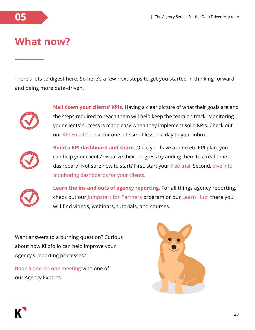

### **What now?**

There's lots to digest here. So here's a few next steps to get you started in thinking forward and being more data-driven.



**Nail down your clients' KPIs.** Having a clear picture of what their goals are and the steps required to reach them will help keep the team on track. Monitoring your clients' success is made easy when they implement solid KPIs. Check out our [KPI Email Course](https://www.klipfolio.com/email-courses) for one bite sized lesson a day to your inbox.



**Build a KPI dashboard and share.** Once you have a concrete KPI plan, you can help your clients' visualize their progress by adding them to a real-time dashboard. Not sure how to start? First, start your [free trial](https://app.klipfolio.com/apiAccount/trialRedirect?metrics=true&metrics_sharing=true&metrics_templates=true). Second, [dive into](https://www.klipfolio.com/partner-resources/onboarding/navigating-client-management)  [monitoring dashboards for your clients](https://www.klipfolio.com/partner-resources/onboarding/navigating-client-management).



**Learn the ins and outs of agency reporting.** For all things agency reporting, check out our [Jumpstart for Partners](https://www.klipfolio.com/partner-resources/onboarding) program or our [Learn Hub,](https://www.klipfolio.com/learn-hub) there you will find videos, webinars, tutorials, and courses.

Want answers to a burning question? Curious about how Klipfolio can help improve your Agency's reporting processes?

[Book a one-on-one meeting](https://calendly.com/pluthra) with one of our Agency Experts.